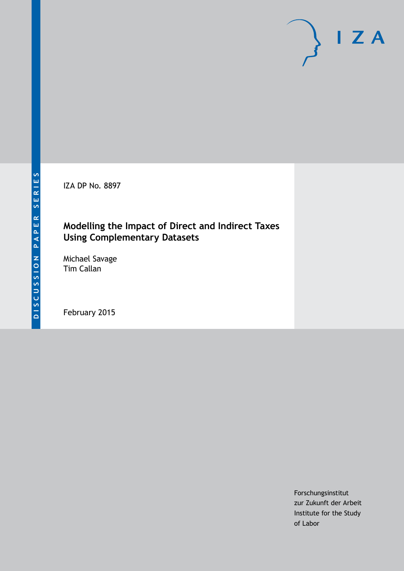IZA DP No. 8897

## **Modelling the Impact of Direct and Indirect Taxes Using Complementary Datasets**

Michael Savage Tim Callan

February 2015

Forschungsinstitut zur Zukunft der Arbeit Institute for the Study of Labor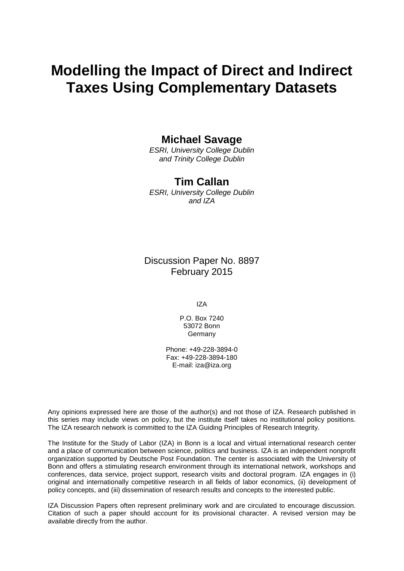# **Modelling the Impact of Direct and Indirect Taxes Using Complementary Datasets**

## **Michael Savage**

*ESRI, University College Dublin and Trinity College Dublin*

### **Tim Callan**

*ESRI, University College Dublin and IZA*

Discussion Paper No. 8897 February 2015

IZA

P.O. Box 7240 53072 Bonn Germany

Phone: +49-228-3894-0 Fax: +49-228-3894-180 E-mail: [iza@iza.org](mailto:iza@iza.org)

Any opinions expressed here are those of the author(s) and not those of IZA. Research published in this series may include views on policy, but the institute itself takes no institutional policy positions. The IZA research network is committed to the IZA Guiding Principles of Research Integrity.

The Institute for the Study of Labor (IZA) in Bonn is a local and virtual international research center and a place of communication between science, politics and business. IZA is an independent nonprofit organization supported by Deutsche Post Foundation. The center is associated with the University of Bonn and offers a stimulating research environment through its international network, workshops and conferences, data service, project support, research visits and doctoral program. IZA engages in (i) original and internationally competitive research in all fields of labor economics, (ii) development of policy concepts, and (iii) dissemination of research results and concepts to the interested public.

IZA Discussion Papers often represent preliminary work and are circulated to encourage discussion. Citation of such a paper should account for its provisional character. A revised version may be available directly from the author.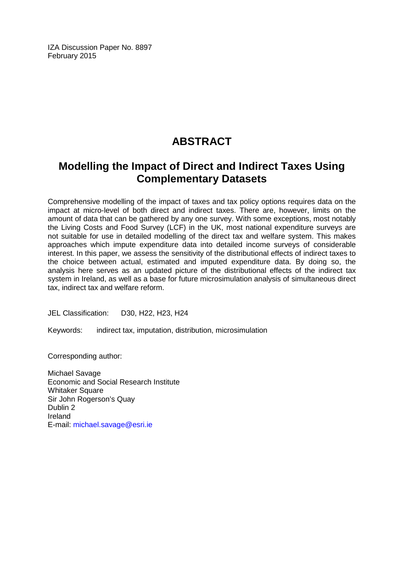IZA Discussion Paper No. 8897 February 2015

## **ABSTRACT**

## **Modelling the Impact of Direct and Indirect Taxes Using Complementary Datasets**

Comprehensive modelling of the impact of taxes and tax policy options requires data on the impact at micro-level of both direct and indirect taxes. There are, however, limits on the amount of data that can be gathered by any one survey. With some exceptions, most notably the Living Costs and Food Survey (LCF) in the UK, most national expenditure surveys are not suitable for use in detailed modelling of the direct tax and welfare system. This makes approaches which impute expenditure data into detailed income surveys of considerable interest. In this paper, we assess the sensitivity of the distributional effects of indirect taxes to the choice between actual, estimated and imputed expenditure data. By doing so, the analysis here serves as an updated picture of the distributional effects of the indirect tax system in Ireland, as well as a base for future microsimulation analysis of simultaneous direct tax, indirect tax and welfare reform.

JEL Classification: D30, H22, H23, H24

Keywords: indirect tax, imputation, distribution, microsimulation

Corresponding author:

Michael Savage Economic and Social Research Institute Whitaker Square Sir John Rogerson's Quay Dublin 2 Ireland E-mail: [michael.savage@esri.ie](mailto:michael.savage@esri.ie)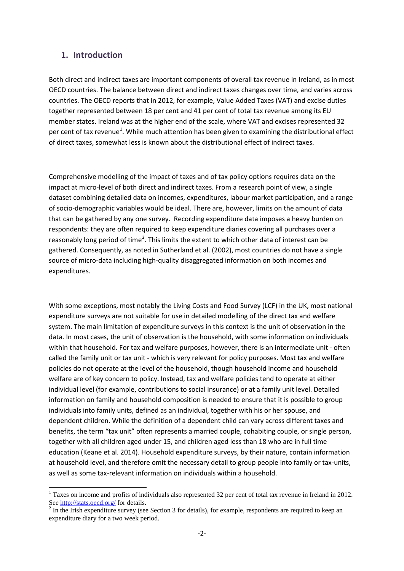#### **1. Introduction**

Both direct and indirect taxes are important components of overall tax revenue in Ireland, as in most OECD countries. The balance between direct and indirect taxes changes over time, and varies across countries. The OECD reports that in 2012, for example, Value Added Taxes (VAT) and excise duties together represented between 18 per cent and 41 per cent of total tax revenue among its EU member states. Ireland was at the higher end of the scale, where VAT and excises represented 32 per cent of tax revenue<sup>1</sup>. While much attention has been given to examining the distributional effect of direct taxes, somewhat less is known about the distributional effect of indirect taxes.

Comprehensive modelling of the impact of taxes and of tax policy options requires data on the impact at micro-level of both direct and indirect taxes. From a research point of view, a single dataset combining detailed data on incomes, expenditures, labour market participation, and a range of socio-demographic variables would be ideal. There are, however, limits on the amount of data that can be gathered by any one survey. Recording expenditure data imposes a heavy burden on respondents: they are often required to keep expenditure diaries covering all purchases over a reasonably long period of time<sup>[2](#page-3-0)</sup>. This limits the extent to which other data of interest can be gathered. Consequently, as noted in Sutherland et al. (2002), most countries do not have a single source of micro-data including high-quality disaggregated information on both incomes and expenditures.

With some exceptions, most notably the Living Costs and Food Survey (LCF) in the UK, most national expenditure surveys are not suitable for use in detailed modelling of the direct tax and welfare system. The main limitation of expenditure surveys in this context is the unit of observation in the data. In most cases, the unit of observation is the household, with some information on individuals within that household. For tax and welfare purposes, however, there is an intermediate unit - often called the family unit or tax unit - which is very relevant for policy purposes. Most tax and welfare policies do not operate at the level of the household, though household income and household welfare are of key concern to policy. Instead, tax and welfare policies tend to operate at either individual level (for example, contributions to social insurance) or at a family unit level. Detailed information on family and household composition is needed to ensure that it is possible to group individuals into family units, defined as an individual, together with his or her spouse, and dependent children. While the definition of a dependent child can vary across different taxes and benefits, the term "tax unit" often represents a married couple, cohabiting couple, or single person, together with all children aged under 15, and children aged less than 18 who are in full time education (Keane et al. 2014). Household expenditure surveys, by their nature, contain information at household level, and therefore omit the necessary detail to group people into family or tax-units, as well as some tax-relevant information on individuals within a household.

 $1$  Taxes on income and profits of individuals also represented 32 per cent of total tax revenue in Ireland in 2012. See<http://stats.oecd.org/> for details.<br><sup>2</sup> In the Irish expenditure survey (see Section 3 for details), for example, respondents are required to keep an

<span id="page-3-0"></span>expenditure diary for a two week period.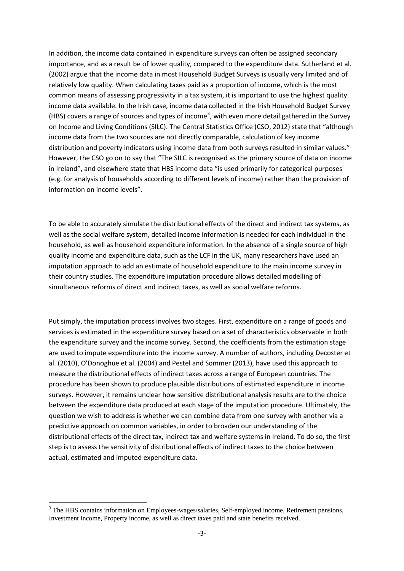In addition, the income data contained in expenditure surveys can often be assigned secondary importance, and as a result be of lower quality, compared to the expenditure data. Sutherland et al. (2002) argue that the income data in most Household Budget Surveys is usually very limited and of relatively low quality. When calculating taxes paid as a proportion of income, which is the most common means of assessing progressivity in a tax system, it is important to use the highest quality income data available. In the Irish case, income data collected in the Irish Household Budget Survey (HBS) covers a range of sources and types of income<sup>[3](#page-3-0)</sup>, with even more detail gathered in the Survey on Income and Living Conditions (SILC). The Central Statistics Office (CSO, 2012) state that "although income data from the two sources are not directly comparable, calculation of key income distribution and poverty indicators using income data from both surveys resulted in similar values." However, the CSO go on to say that "The SILC is recognised as the primary source of data on income in Ireland", and elsewhere state that HBS income data "is used primarily for categorical purposes (e.g. for analysis of households according to different levels of income) rather than the provision of information on income levels".

To be able to accurately simulate the distributional effects of the direct and indirect tax systems, as well as the social welfare system, detailed income information is needed for each individual in the household, as well as household expenditure information. In the absence of a single source of high quality income and expenditure data, such as the LCF in the UK, many researchers have used an imputation approach to add an estimate of household expenditure to the main income survey in their country studies. The expenditure imputation procedure allows detailed modelling of simultaneous reforms of direct and indirect taxes, as well as social welfare reforms.

Put simply, the imputation process involves two stages. First, expenditure on a range of goods and services is estimated in the expenditure survey based on a set of characteristics observable in both the expenditure survey and the income survey. Second, the coefficients from the estimation stage are used to impute expenditure into the income survey. A number of authors, including Decoster et al. (2010), O'Donoghue et al. (2004) and Pestel and Sommer (2013), have used this approach to measure the distributional effects of indirect taxes across a range of European countries. The procedure has been shown to produce plausible distributions of estimated expenditure in income surveys. However, it remains unclear how sensitive distributional analysis results are to the choice between the expenditure data produced at each stage of the imputation procedure. Ultimately, the question we wish to address is whether we can combine data from one survey with another via a predictive approach on common variables, in order to broaden our understanding of the distributional effects of the direct tax, indirect tax and welfare systems in Ireland. To do so, the first step is to assess the sensitivity of distributional effects of indirect taxes to the choice between actual, estimated and imputed expenditure data.

<span id="page-4-0"></span><sup>&</sup>lt;sup>3</sup> The HBS contains information on Employees-wages/salaries, Self-employed income, Retirement pensions, Investment income, Property income, as well as direct taxes paid and state benefits received.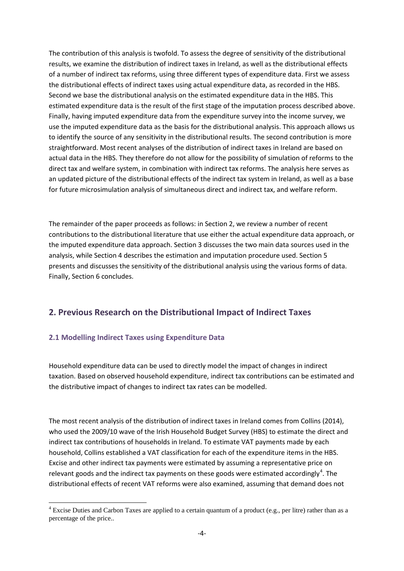The contribution of this analysis is twofold. To assess the degree of sensitivity of the distributional results, we examine the distribution of indirect taxes in Ireland, as well as the distributional effects of a number of indirect tax reforms, using three different types of expenditure data. First we assess the distributional effects of indirect taxes using actual expenditure data, as recorded in the HBS. Second we base the distributional analysis on the estimated expenditure data in the HBS. This estimated expenditure data is the result of the first stage of the imputation process described above. Finally, having imputed expenditure data from the expenditure survey into the income survey, we use the imputed expenditure data as the basis for the distributional analysis. This approach allows us to identify the source of any sensitivity in the distributional results. The second contribution is more straightforward. Most recent analyses of the distribution of indirect taxes in Ireland are based on actual data in the HBS. They therefore do not allow for the possibility of simulation of reforms to the direct tax and welfare system, in combination with indirect tax reforms. The analysis here serves as an updated picture of the distributional effects of the indirect tax system in Ireland, as well as a base for future microsimulation analysis of simultaneous direct and indirect tax, and welfare reform.

The remainder of the paper proceeds as follows: in Section 2, we review a number of recent contributions to the distributional literature that use either the actual expenditure data approach, or the imputed expenditure data approach. Section 3 discusses the two main data sources used in the analysis, while Section 4 describes the estimation and imputation procedure used. Section 5 presents and discusses the sensitivity of the distributional analysis using the various forms of data. Finally, Section 6 concludes.

## **2. Previous Research on the Distributional Impact of Indirect Taxes**

### **2.1 Modelling Indirect Taxes using Expenditure Data**

Household expenditure data can be used to directly model the impact of changes in indirect taxation. Based on observed household expenditure, indirect tax contributions can be estimated and the distributive impact of changes to indirect tax rates can be modelled.

The most recent analysis of the distribution of indirect taxes in Ireland comes from Collins (2014), who used the 2009/10 wave of the Irish Household Budget Survey (HBS) to estimate the direct and indirect tax contributions of households in Ireland. To estimate VAT payments made by each household, Collins established a VAT classification for each of the expenditure items in the HBS. Excise and other indirect tax payments were estimated by assuming a representative price on relevant goods and the indirect tax payments on these goods were estimated accordingly<sup>[4](#page-4-0)</sup>. The distributional effects of recent VAT reforms were also examined, assuming that demand does not

<span id="page-5-0"></span><sup>&</sup>lt;sup>4</sup> Excise Duties and Carbon Taxes are applied to a certain quantum of a product (e.g., per litre) rather than as a percentage of the price..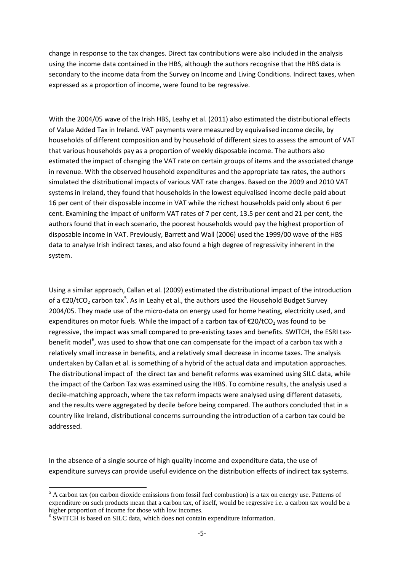change in response to the tax changes. Direct tax contributions were also included in the analysis using the income data contained in the HBS, although the authors recognise that the HBS data is secondary to the income data from the Survey on Income and Living Conditions. Indirect taxes, when expressed as a proportion of income, were found to be regressive.

With the 2004/05 wave of the Irish HBS, Leahy et al. (2011) also estimated the distributional effects of Value Added Tax in Ireland. VAT payments were measured by equivalised income decile, by households of different composition and by household of different sizes to assess the amount of VAT that various households pay as a proportion of weekly disposable income. The authors also estimated the impact of changing the VAT rate on certain groups of items and the associated change in revenue. With the observed household expenditures and the appropriate tax rates, the authors simulated the distributional impacts of various VAT rate changes. Based on the 2009 and 2010 VAT systems in Ireland, they found that households in the lowest equivalised income decile paid about 16 per cent of their disposable income in VAT while the richest households paid only about 6 per cent. Examining the impact of uniform VAT rates of 7 per cent, 13.5 per cent and 21 per cent, the authors found that in each scenario, the poorest households would pay the highest proportion of disposable income in VAT. Previously, Barrett and Wall (2006) used the 1999/00 wave of the HBS data to analyse Irish indirect taxes, and also found a high degree of regressivity inherent in the system.

Using a similar approach, Callan et al. (2009) estimated the distributional impact of the introduction of a €20/tCO<sub>2</sub> carbon tax<sup>[5](#page-5-0)</sup>. As in Leahy et al., the authors used the Household Budget Survey 2004/05. They made use of the micro-data on energy used for home heating, electricity used, and expenditures on motor fuels. While the impact of a carbon tax of  $\epsilon$ 20/tCO<sub>2</sub> was found to be regressive, the impact was small compared to pre-existing taxes and benefits. SWITCH, the ESRI tax-benefit model<sup>[6](#page-6-0)</sup>, was used to show that one can compensate for the impact of a carbon tax with a relatively small increase in benefits, and a relatively small decrease in income taxes. The analysis undertaken by Callan et al. is something of a hybrid of the actual data and imputation approaches. The distributional impact of the direct tax and benefit reforms was examined using SILC data, while the impact of the Carbon Tax was examined using the HBS. To combine results, the analysis used a decile-matching approach, where the tax reform impacts were analysed using different datasets, and the results were aggregated by decile before being compared. The authors concluded that in a country like Ireland, distributional concerns surrounding the introduction of a carbon tax could be addressed.

<span id="page-6-1"></span>In the absence of a single source of high quality income and expenditure data, the use of expenditure surveys can provide useful evidence on the distribution effects of indirect tax systems.

<sup>5</sup> A carbon tax (on carbon dioxide emissions from fossil fuel combustion) is a tax on energy use. Patterns of expenditure on such products mean that a carbon tax, of itself, would be regressive i.e. a carbon tax would be a higher proportion of income for those with low incomes.

<span id="page-6-0"></span><sup>&</sup>lt;sup>6</sup> SWITCH is based on SILC data, which does not contain expenditure information.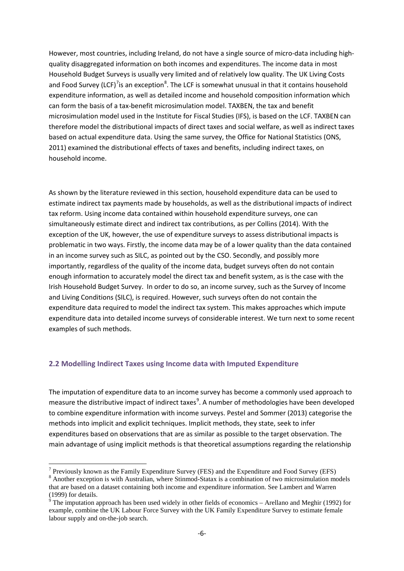However, most countries, including Ireland, do not have a single source of micro-data including highquality disaggregated information on both incomes and expenditures. The income data in most Household Budget Surveys is usually very limited and of relatively low quality. The UK Living Costs and Food Survey (LCF)<sup>[7](#page-6-1)</sup>is an exception<sup>[8](#page-7-0)</sup>. The LCF is somewhat unusual in that it contains household expenditure information, as well as detailed income and household composition information which can form the basis of a tax-benefit microsimulation model. TAXBEN, the tax and benefit microsimulation model used in the Institute for Fiscal Studies (IFS), is based on the LCF. TAXBEN can therefore model the distributional impacts of direct taxes and social welfare, as well as indirect taxes based on actual expenditure data. Using the same survey, the Office for National Statistics (ONS, 2011) examined the distributional effects of taxes and benefits, including indirect taxes, on household income.

As shown by the literature reviewed in this section, household expenditure data can be used to estimate indirect tax payments made by households, as well as the distributional impacts of indirect tax reform. Using income data contained within household expenditure surveys, one can simultaneously estimate direct and indirect tax contributions, as per Collins (2014). With the exception of the UK, however, the use of expenditure surveys to assess distributional impacts is problematic in two ways. Firstly, the income data may be of a lower quality than the data contained in an income survey such as SILC, as pointed out by the CSO. Secondly, and possibly more importantly, regardless of the quality of the income data, budget surveys often do not contain enough information to accurately model the direct tax and benefit system, as is the case with the Irish Household Budget Survey. In order to do so, an income survey, such as the Survey of Income and Living Conditions (SILC), is required. However, such surveys often do not contain the expenditure data required to model the indirect tax system. This makes approaches which impute expenditure data into detailed income surveys of considerable interest. We turn next to some recent examples of such methods.

#### **2.2 Modelling Indirect Taxes using Income data with Imputed Expenditure**

The imputation of expenditure data to an income survey has become a commonly used approach to measure the distributive impact of indirect taxes<sup>[9](#page-7-1)</sup>. A number of methodologies have been developed to combine expenditure information with income surveys. Pestel and Sommer (2013) categorise the methods into implicit and explicit techniques. Implicit methods, they state, seek to infer expenditures based on observations that are as similar as possible to the target observation. The main advantage of using implicit methods is that theoretical assumptions regarding the relationship

<span id="page-7-0"></span><sup>&</sup>lt;sup>7</sup> Previously known as the Family Expenditure Survey (FES) and the Expenditure and Food Survey (EFS)  $^8$  Another exception is with Australian, where Stinmod-Statax is a combination of two microsimulation models that are based on a dataset containing both income and expenditure information. See Lambert and Warren  $(1999)$  for details.

<span id="page-7-2"></span><span id="page-7-1"></span><sup>9</sup> The imputation approach has been used widely in other fields of economics – Arellano and Meghir (1992) for example, combine the UK Labour Force Survey with the UK Family Expenditure Survey to estimate female labour supply and on-the-job search.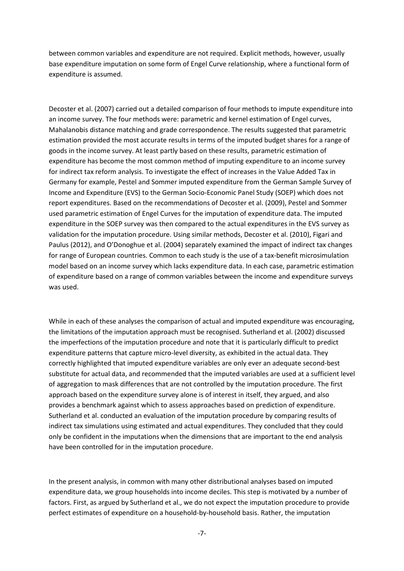between common variables and expenditure are not required. Explicit methods, however, usually base expenditure imputation on some form of Engel Curve relationship, where a functional form of expenditure is assumed.

Decoster et al. (2007) carried out a detailed comparison of four methods to impute expenditure into an income survey. The four methods were: parametric and kernel estimation of Engel curves, Mahalanobis distance matching and grade correspondence. The results suggested that parametric estimation provided the most accurate results in terms of the imputed budget shares for a range of goods in the income survey. At least partly based on these results, parametric estimation of expenditure has become the most common method of imputing expenditure to an income survey for indirect tax reform analysis. To investigate the effect of increases in the Value Added Tax in Germany for example, Pestel and Sommer imputed expenditure from the German Sample Survey of Income and Expenditure (EVS) to the German Socio-Economic Panel Study (SOEP) which does not report expenditures. Based on the recommendations of Decoster et al. (2009), Pestel and Sommer used parametric estimation of Engel Curves for the imputation of expenditure data. The imputed expenditure in the SOEP survey was then compared to the actual expenditures in the EVS survey as validation for the imputation procedure. Using similar methods, Decoster et al. (2010), Figari and Paulus (2012), and O'Donoghue et al. (2004) separately examined the impact of indirect tax changes for range of European countries. Common to each study is the use of a tax-benefit microsimulation model based on an income survey which lacks expenditure data. In each case, parametric estimation of expenditure based on a range of common variables between the income and expenditure surveys was used.

While in each of these analyses the comparison of actual and imputed expenditure was encouraging, the limitations of the imputation approach must be recognised. Sutherland et al. (2002) discussed the imperfections of the imputation procedure and note that it is particularly difficult to predict expenditure patterns that capture micro-level diversity, as exhibited in the actual data. They correctly highlighted that imputed expenditure variables are only ever an adequate second-best substitute for actual data, and recommended that the imputed variables are used at a sufficient level of aggregation to mask differences that are not controlled by the imputation procedure. The first approach based on the expenditure survey alone is of interest in itself, they argued, and also provides a benchmark against which to assess approaches based on prediction of expenditure. Sutherland et al. conducted an evaluation of the imputation procedure by comparing results of indirect tax simulations using estimated and actual expenditures. They concluded that they could only be confident in the imputations when the dimensions that are important to the end analysis have been controlled for in the imputation procedure.

In the present analysis, in common with many other distributional analyses based on imputed expenditure data, we group households into income deciles. This step is motivated by a number of factors. First, as argued by Sutherland et al., we do not expect the imputation procedure to provide perfect estimates of expenditure on a household-by-household basis. Rather, the imputation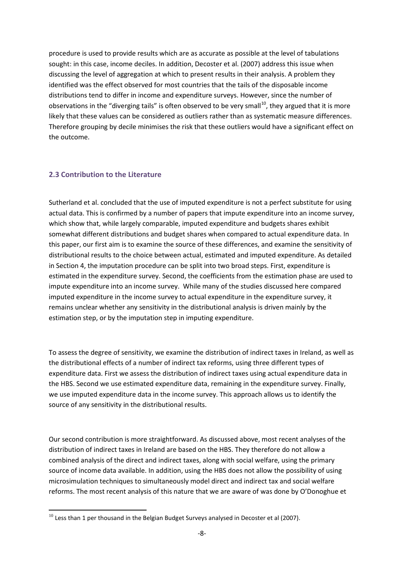procedure is used to provide results which are as accurate as possible at the level of tabulations sought: in this case, income deciles. In addition, Decoster et al. (2007) address this issue when discussing the level of aggregation at which to present results in their analysis. A problem they identified was the effect observed for most countries that the tails of the disposable income distributions tend to differ in income and expenditure surveys. However, since the number of observations in the "diverging tails" is often observed to be very small<sup>[10](#page-7-2)</sup>, they argued that it is more likely that these values can be considered as outliers rather than as systematic measure differences. Therefore grouping by decile minimises the risk that these outliers would have a significant effect on the outcome.

#### **2.3 Contribution to the Literature**

 $\overline{\phantom{a}}$ 

Sutherland et al. concluded that the use of imputed expenditure is not a perfect substitute for using actual data. This is confirmed by a number of papers that impute expenditure into an income survey, which show that, while largely comparable, imputed expenditure and budgets shares exhibit somewhat different distributions and budget shares when compared to actual expenditure data. In this paper, our first aim is to examine the source of these differences, and examine the sensitivity of distributional results to the choice between actual, estimated and imputed expenditure. As detailed in Section 4, the imputation procedure can be split into two broad steps. First, expenditure is estimated in the expenditure survey. Second, the coefficients from the estimation phase are used to impute expenditure into an income survey. While many of the studies discussed here compared imputed expenditure in the income survey to actual expenditure in the expenditure survey, it remains unclear whether any sensitivity in the distributional analysis is driven mainly by the estimation step, or by the imputation step in imputing expenditure.

To assess the degree of sensitivity, we examine the distribution of indirect taxes in Ireland, as well as the distributional effects of a number of indirect tax reforms, using three different types of expenditure data. First we assess the distribution of indirect taxes using actual expenditure data in the HBS. Second we use estimated expenditure data, remaining in the expenditure survey. Finally, we use imputed expenditure data in the income survey. This approach allows us to identify the source of any sensitivity in the distributional results.

<span id="page-9-0"></span>Our second contribution is more straightforward. As discussed above, most recent analyses of the distribution of indirect taxes in Ireland are based on the HBS. They therefore do not allow a combined analysis of the direct and indirect taxes, along with social welfare, using the primary source of income data available. In addition, using the HBS does not allow the possibility of using microsimulation techniques to simultaneously model direct and indirect tax and social welfare reforms. The most recent analysis of this nature that we are aware of was done by O'Donoghue et

 $^{10}$  Less than 1 per thousand in the Belgian Budget Surveys analysed in Decoster et al (2007).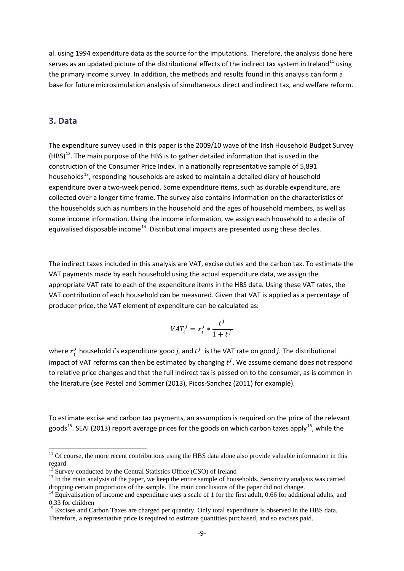al. using 1994 expenditure data as the source for the imputations. Therefore, the analysis done here serves as an updated picture of the distributional effects of the indirect tax system in Ireland<sup>[11](#page-9-0)</sup> using the primary income survey. In addition, the methods and results found in this analysis can form a base for future microsimulation analysis of simultaneous direct and indirect tax, and welfare reform.

#### **3. Data**

The expenditure survey used in this paper is the 2009/10 wave of the Irish Household Budget Survey  $(HBS)^{12}$  $(HBS)^{12}$  $(HBS)^{12}$ . The main purpose of the HBS is to gather detailed information that is used in the construction of the Consumer Price Index. In a nationally representative sample of 5,891 households<sup>13</sup>, responding households are asked to maintain a detailed diary of household expenditure over a two-week period. Some expenditure items, such as durable expenditure, are collected over a longer time frame. The survey also contains information on the characteristics of the households such as numbers in the household and the ages of household members, as well as some income information. Using the income information, we assign each household to a decile of equivalised disposable income<sup>[14](#page-10-2)</sup>. Distributional impacts are presented using these deciles.

The indirect taxes included in this analysis are VAT, excise duties and the carbon tax. To estimate the VAT payments made by each household using the actual expenditure data, we assign the appropriate VAT rate to each of the expenditure items in the HBS data. Using these VAT rates, the VAT contribution of each household can be measured. Given that VAT is applied as a percentage of producer price, the VAT element of expenditure can be calculated as:

$$
VAT_i^j = x_i^j * \frac{t^j}{1+t^j}
$$

where  $x_i^j$  household *i*'s expenditure good *j*, and  $t^j$  is the VAT rate on good *j*. The distributional impact of VAT reforms can then be estimated by changing  $t^j$ . We assume demand does not respond to relative price changes and that the full indirect tax is passed on to the consumer, as is common in the literature (see Pestel and Sommer (2013), Picos-Sanchez (2011) for example).

To estimate excise and carbon tax payments, an assumption is required on the price of the relevant goods<sup>[15](#page-10-3)</sup>. SEAI (2013) report average prices for the goods on which carbon taxes apply<sup>16</sup>, while the

 $11$  Of course, the more recent contributions using the HBS data alone also provide valuable information in this regard.<br><sup>12</sup> Survey conducted by the Central Statistics Office (CSO) of Ireland

<span id="page-10-1"></span><span id="page-10-0"></span> $13$  In the main analysis of the paper, we keep the entire sample of households. Sensitivity analysis was carried dropping certain proportions of the sample. The main conclusions of the paper did not change.

<span id="page-10-4"></span><span id="page-10-2"></span><sup>&</sup>lt;sup>14</sup> Equivalisation of income and expenditure uses a scale of 1 for the first adult, 0.66 for additional adults, and 0.33 for children 15 Excises and Carbon Taxes are charged per quantity. Only total expenditure is observed in the HBS data.

<span id="page-10-3"></span>Therefore, a representative price is required to estimate quantities purchased, and so excises paid.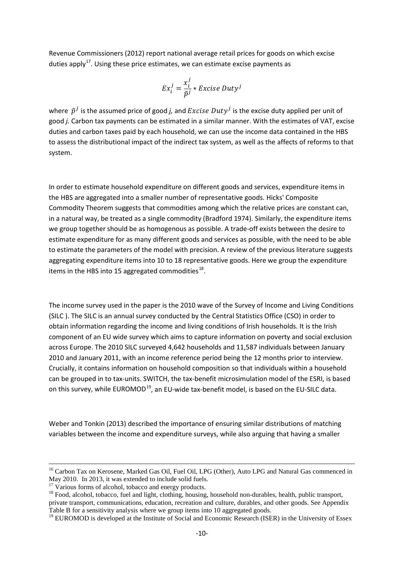Revenue Commissioners (2012) report national average retail prices for goods on which excise duties apply<sup>17</sup>. Using these price estimates, we can estimate excise payments as

$$
Ex_i^j = \frac{x_i^j}{\tilde{p}^j} * Exercise\ Duty^j
$$

where  $\tilde{p}^j$  is the assumed price of good *i,* and *Excise Duty* is the excise duty applied per unit of good *j.* Carbon tax payments can be estimated in a similar manner. With the estimates of VAT, excise duties and carbon taxes paid by each household, we can use the income data contained in the HBS to assess the distributional impact of the indirect tax system, as well as the affects of reforms to that system.

In order to estimate household expenditure on different goods and services, expenditure items in the HBS are aggregated into a smaller number of representative goods. Hicks' Composite Commodity Theorem suggests that commodities among which the relative prices are constant can, in a natural way, be treated as a single commodity (Bradford 1974). Similarly, the expenditure items we group together should be as homogenous as possible. A trade-off exists between the desire to estimate expenditure for as many different goods and services as possible, with the need to be able to estimate the parameters of the model with precision. A review of the previous literature suggests aggregating expenditure items into 10 to 18 representative goods. Here we group the expenditure items in the HBS into 15 aggregated commodities $^{18}$  $^{18}$  $^{18}$ .

The income survey used in the paper is the 2010 wave of the Survey of Income and Living Conditions (SILC ). The SILC is an annual survey conducted by the Central Statistics Office (CSO) in order to obtain information regarding the income and living conditions of Irish households. It is the Irish component of an EU wide survey which aims to capture information on poverty and social exclusion across Europe. The 2010 SILC surveyed 4,642 households and 11,587 individuals between January 2010 and January 2011, with an income reference period being the 12 months prior to interview. Crucially, it contains information on household composition so that individuals within a household can be grouped in to tax-units. SWITCH, the tax-benefit microsimulation model of the ESRI, is based on this survey, while EUROMOD<sup>19</sup>, an EU-wide tax-benefit model, is based on the EU-SILC data.

Weber and Tonkin (2013) described the importance of ensuring similar distributions of matching variables between the income and expenditure surveys, while also arguing that having a smaller

<sup>&</sup>lt;sup>16</sup> Carbon Tax on Kerosene, Marked Gas Oil, Fuel Oil, LPG (Other), Auto LPG and Natural Gas commenced in May 2010. In 2013, it was extended to include solid fuels.<br><sup>17</sup> Various forms of alcohol, tobacco and energy products.

<span id="page-11-0"></span> $18$  Food, alcohol, tobacco, fuel and light, clothing, housing, household non-durables, health, public transport, private transport, communications, education, recreation and culture, durables, and other goods. Se[e Appendix](#page-29-0)  [Table B](#page-29-0) for a sensitivity analysis where we group items into 10 aggregated goods.

<span id="page-11-1"></span><sup>&</sup>lt;sup>19</sup> EUROMOD is developed at the Institute of Social and Economic Research (ISER) in the University of Essex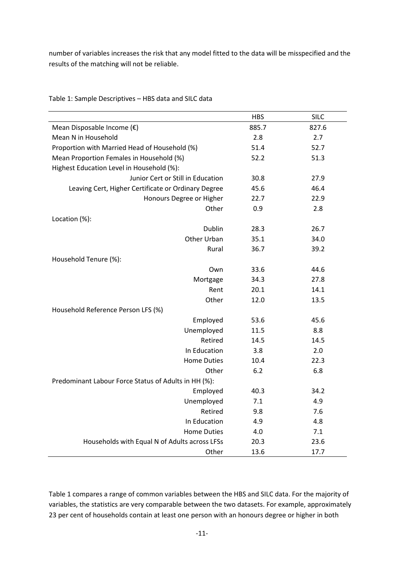number of variables increases the risk that any model fitted to the data will be misspecified and the results of the matching will not be reliable.

|                                                      | <b>HBS</b> | <b>SILC</b> |
|------------------------------------------------------|------------|-------------|
| Mean Disposable Income $(\epsilon)$                  | 885.7      | 827.6       |
| Mean N in Household                                  | 2.8        | 2.7         |
| Proportion with Married Head of Household (%)        | 51.4       | 52.7        |
| Mean Proportion Females in Household (%)             | 52.2       | 51.3        |
| Highest Education Level in Household (%):            |            |             |
| Junior Cert or Still in Education                    | 30.8       | 27.9        |
| Leaving Cert, Higher Certificate or Ordinary Degree  | 45.6       | 46.4        |
| Honours Degree or Higher                             | 22.7       | 22.9        |
| Other                                                | 0.9        | 2.8         |
| Location (%):                                        |            |             |
| Dublin                                               | 28.3       | 26.7        |
| <b>Other Urban</b>                                   | 35.1       | 34.0        |
| Rural                                                | 36.7       | 39.2        |
| Household Tenure (%):                                |            |             |
| Own                                                  | 33.6       | 44.6        |
| Mortgage                                             | 34.3       | 27.8        |
| Rent                                                 | 20.1       | 14.1        |
| Other                                                | 12.0       | 13.5        |
| Household Reference Person LFS (%)                   |            |             |
| Employed                                             | 53.6       | 45.6        |
| Unemployed                                           | 11.5       | 8.8         |
| Retired                                              | 14.5       | 14.5        |
| In Education                                         | 3.8        | $2.0\,$     |
| <b>Home Duties</b>                                   | 10.4       | 22.3        |
| Other                                                | 6.2        | 6.8         |
| Predominant Labour Force Status of Adults in HH (%): |            |             |
| Employed                                             | 40.3       | 34.2        |
| Unemployed                                           | 7.1        | 4.9         |
| Retired                                              | 9.8        | 7.6         |
| In Education                                         | 4.9        | 4.8         |
| <b>Home Duties</b>                                   | 4.0        | 7.1         |
| Households with Equal N of Adults across LFSs        | 20.3       | 23.6        |
| Other                                                | 13.6       | 17.7        |

<span id="page-12-0"></span>Table 1: Sample Descriptives – HBS data and SILC data

[Table 1](#page-12-0) compares a range of common variables between the HBS and SILC data. For the majority of variables, the statistics are very comparable between the two datasets. For example, approximately 23 per cent of households contain at least one person with an honours degree or higher in both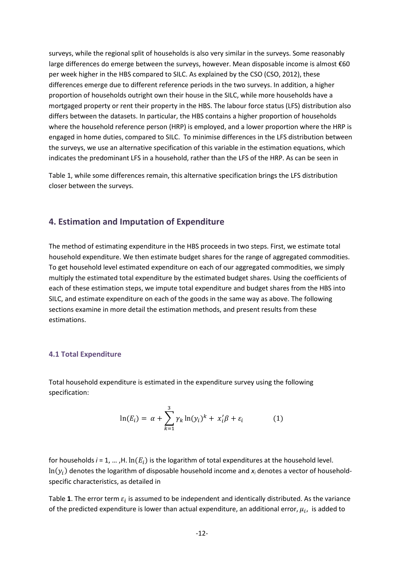surveys, while the regional split of households is also very similar in the surveys. Some reasonably large differences do emerge between the surveys, however. Mean disposable income is almost €60 per week higher in the HBS compared to SILC. As explained by the CSO (CSO, 2012), these differences emerge due to different reference periods in the two surveys. In addition, a higher proportion of households outright own their house in the SILC, while more households have a mortgaged property or rent their property in the HBS. The labour force status (LFS) distribution also differs between the datasets. In particular, the HBS contains a higher proportion of households where the household reference person (HRP) is employed, and a lower proportion where the HRP is engaged in home duties, compared to SILC. To minimise differences in the LFS distribution between the surveys, we use an alternative specification of this variable in the estimation equations, which indicates the predominant LFS in a household, rather than the LFS of the HRP. As can be seen in

[Table 1,](#page-12-0) while some differences remain, this alternative specification brings the LFS distribution closer between the surveys.

### **4. Estimation and Imputation of Expenditure**

The method of estimating expenditure in the HBS proceeds in two steps. First, we estimate total household expenditure. We then estimate budget shares for the range of aggregated commodities. To get household level estimated expenditure on each of our aggregated commodities, we simply multiply the estimated total expenditure by the estimated budget shares. Using the coefficients of each of these estimation steps, we impute total expenditure and budget shares from the HBS into SILC, and estimate expenditure on each of the goods in the same way as above. The following sections examine in more detail the estimation methods, and present results from these estimations.

#### **4.1 Total Expenditure**

Total household expenditure is estimated in the expenditure survey using the following specification:

$$
\ln(E_i) = \alpha + \sum_{k=1}^{3} \gamma_k \ln(y_i)^k + x_i^{\prime} \beta + \varepsilon_i \tag{1}
$$

for households  $i = 1, ..., H$ .  $\ln(E_i)$  is the logarithm of total expenditures at the household level.  $ln(y_i)$  denotes the logarithm of disposable household income and  $x_i$  denotes a vector of householdspecific characteristics, as detailed in

[Table](#page-12-0) 1. The error term  $\varepsilon_i$  is assumed to be independent and identically distributed. As the variance of the predicted expenditure is lower than actual expenditure, an additional error,  $\mu_i$ , is added to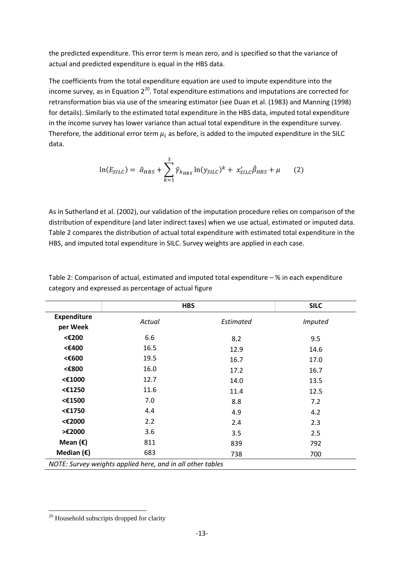the predicted expenditure. This error term is mean zero, and is specified so that the variance of actual and predicted expenditure is equal in the HBS data.

The coefficients from the total expenditure equation are used to impute expenditure into the income survey, as in Equation  $2^{20}$  $2^{20}$  $2^{20}$ . Total expenditure estimations and imputations are corrected for retransformation bias via use of the smearing estimator (see Duan et al. (1983) and Manning (1998) for details). Similarly to the estimated total expenditure in the HBS data, imputed total expenditure in the income survey has lower variance than actual total expenditure in the expenditure survey. Therefore, the additional error term  $\mu_i$  as before, is added to the imputed expenditure in the SILC data.

$$
\ln(E_{SILC}) = \hat{\alpha}_{HBS} + \sum_{k=1}^{3} \hat{\gamma}_{k_{HBS}} \ln(y_{SILC})^{k} + x'_{SILC} \hat{\beta}_{HBS} + \mu
$$
 (2)

As in Sutherland et al. (2002), our validation of the imputation procedure relies on comparison of the distribution of expenditure (and later indirect taxes) when we use actual, estimated or imputed data. [Table 2](#page-14-0) compares the distribution of actual total expenditure with estimated total expenditure in the HBS, and imputed total expenditure in SILC. Survey weights are applied in each case.

|                                | <b>HBS</b> |           | <b>SILC</b>    |  |
|--------------------------------|------------|-----------|----------------|--|
| <b>Expenditure</b><br>per Week | Actual     | Estimated | <b>Imputed</b> |  |
| <€200                          | 6.6        | 8.2       | 9.5            |  |
| <€400                          | 16.5       | 12.9      | 14.6           |  |
| <€600                          | 19.5       | 16.7      | 17.0           |  |
| <€800                          | 16.0       | 17.2      | 16.7           |  |
| <€1000                         | 12.7       | 14.0      | 13.5           |  |
| <€1250                         | 11.6       | 11.4      | 12.5           |  |
| <€1500                         | 7.0        | 8.8       | 7.2            |  |
| <€1750                         | 4.4        | 4.9       | 4.2            |  |
| <€2000                         | 2.2        | 2.4       | 2.3            |  |
| >€2000                         | 3.6        | 3.5       | 2.5            |  |
| Mean $(\epsilon)$              | 811        | 839       | 792            |  |
| Median $(E)$                   | 683        | 738       | 700            |  |

<span id="page-14-0"></span>Table 2: Comparison of actual, estimated and imputed total expenditure – % in each expenditure category and expressed as percentage of actual figure

<span id="page-14-1"></span><sup>&</sup>lt;sup>20</sup> Household subscripts dropped for clarity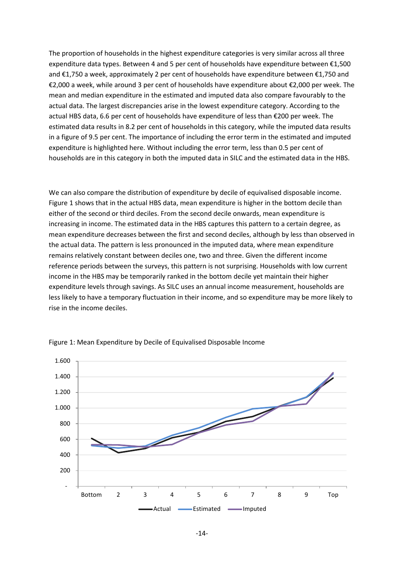The proportion of households in the highest expenditure categories is very similar across all three expenditure data types. Between 4 and 5 per cent of households have expenditure between €1,500 and €1,750 a week, approximately 2 per cent of households have expenditure between €1,750 and €2,000 a week, while around 3 per cent of households have expenditure about €2,000 per week. The mean and median expenditure in the estimated and imputed data also compare favourably to the actual data. The largest discrepancies arise in the lowest expenditure category. According to the actual HBS data, 6.6 per cent of households have expenditure of less than €200 per week. The estimated data results in 8.2 per cent of households in this category, while the imputed data results in a figure of 9.5 per cent. The importance of including the error term in the estimated and imputed expenditure is highlighted here. Without including the error term, less than 0.5 per cent of households are in this category in both the imputed data in SILC and the estimated data in the HBS.

We can also compare the distribution of expenditure by decile of equivalised disposable income. [Figure 1](#page-15-0) shows that in the actual HBS data, mean expenditure is higher in the bottom decile than either of the second or third deciles. From the second decile onwards, mean expenditure is increasing in income. The estimated data in the HBS captures this pattern to a certain degree, as mean expenditure decreases between the first and second deciles, although by less than observed in the actual data. The pattern is less pronounced in the imputed data, where mean expenditure remains relatively constant between deciles one, two and three. Given the different income reference periods between the surveys, this pattern is not surprising. Households with low current income in the HBS may be temporarily ranked in the bottom decile yet maintain their higher expenditure levels through savings. As SILC uses an annual income measurement, households are less likely to have a temporary fluctuation in their income, and so expenditure may be more likely to rise in the income deciles.



<span id="page-15-0"></span>Figure 1: Mean Expenditure by Decile of Equivalised Disposable Income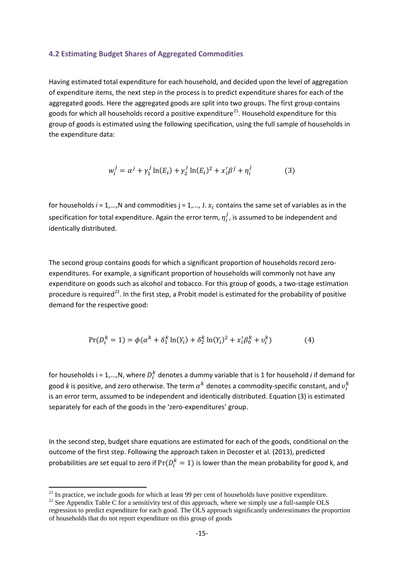#### **4.2 Estimating Budget Shares of Aggregated Commodities**

Having estimated total expenditure for each household, and decided upon the level of aggregation of expenditure items, the next step in the process is to predict expenditure shares for each of the aggregated goods. Here the aggregated goods are split into two groups. The first group contains goods for which all households record a positive expenditure<sup>[21](#page-14-1)</sup>. Household expenditure for this group of goods is estimated using the following specification, using the full sample of households in the expenditure data:

$$
w_i^j = \alpha^j + \gamma_1^j \ln(E_i) + \gamma_2^j \ln(E_i)^2 + x_i^j \beta^j + \eta_i^j
$$
 (3)

for households  $i = 1,...,N$  and commodities  $j = 1,..., J$ .  $x_i$  contains the same set of variables as in the specification for total expenditure. Again the error term,  $\eta_i^j$ , is assumed to be independent and identically distributed.

The second group contains goods for which a significant proportion of households record zeroexpenditures. For example, a significant proportion of households will commonly not have any expenditure on goods such as alcohol and tobacco. For this group of goods, a two-stage estimation procedure is required<sup>[22](#page-16-0)</sup>. In the first step, a Probit model is estimated for the probability of positive demand for the respective good:

$$
Pr(D_i^k = 1) = \phi(\alpha^k + \delta_1^k \ln(Y_i) + \delta_2^k \ln(Y_i)^2 + x_i^{\prime} \beta_0^k + v_i^k)
$$
(4)

for households i = 1,...,N, where  $D_i^k$  denotes a dummy variable that is 1 for household *i* if demand for good *k* is positive, and zero otherwise. The term  $\alpha^k$  denotes a commodity-specific constant, and  $v_i^k$ is an error term, assumed to be independent and identically distributed. Equation (3) is estimated separately for each of the goods in the 'zero-expenditures' group.

In the second step, budget share equations are estimated for each of the goods, conditional on the outcome of the first step. Following the approach taken in Decoster et al. (2013), predicted probabilities are set equal to zero if  $Pr(D_i^k = 1)$  is lower than the mean probability for good k, and

<span id="page-16-1"></span>

<span id="page-16-0"></span><sup>&</sup>lt;sup>21</sup> In practice, we include goods for which at least 99 per cent of households have positive expenditure. <sup>22</sup> See [Appendix Table C](#page-30-0) for a sensitivity test of this approach, where we simply use a full-sample OLS regression to predict expenditure for each good. The OLS approach significantly underestimates the proportion of households that do not report expenditure on this group of goods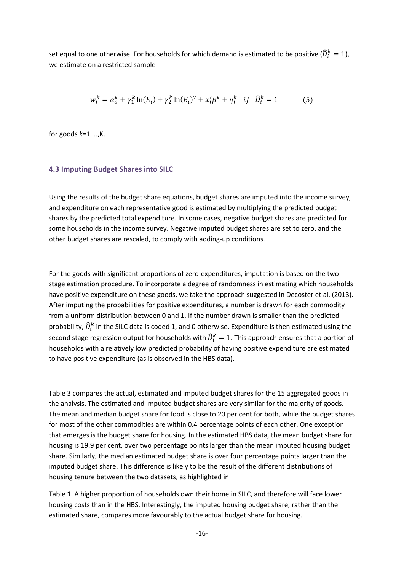set equal to one otherwise. For households for which demand is estimated to be positive ( $\widehat{D}_{i}^{k}=1$ ), we estimate on a restricted sample

$$
w_i^k = \alpha_o^k + \gamma_1^k \ln(E_i) + \gamma_2^k \ln(E_i)^2 + x_i^{\prime} \beta^k + \eta_i^k \quad \text{if} \quad \hat{D}_i^k = 1 \tag{5}
$$

for goods *k*=1,...,K.

#### **4.3 Imputing Budget Shares into SILC**

Using the results of the budget share equations, budget shares are imputed into the income survey, and expenditure on each representative good is estimated by multiplying the predicted budget shares by the predicted total expenditure. In some cases, negative budget shares are predicted for some households in the income survey. Negative imputed budget shares are set to zero, and the other budget shares are rescaled, to comply with adding-up conditions.

For the goods with significant proportions of zero-expenditures, imputation is based on the twostage estimation procedure. To incorporate a degree of randomness in estimating which households have positive expenditure on these goods, we take the approach suggested in Decoster et al. (2013). After imputing the probabilities for positive expenditures, a number is drawn for each commodity from a uniform distribution between 0 and 1. If the number drawn is smaller than the predicted probability,  $\widehat{D}_{i}^{k}$  in the SILC data is coded 1, and 0 otherwise. Expenditure is then estimated using the second stage regression output for households with  $\widehat{D}_{i}^{k}=1.$  This approach ensures that a portion of households with a relatively low predicted probability of having positive expenditure are estimated to have positive expenditure (as is observed in the HBS data).

[Table 3](#page-18-0) compares the actual, estimated and imputed budget shares for the 15 aggregated goods in the analysis. The estimated and imputed budget shares are very similar for the majority of goods. The mean and median budget share for food is close to 20 per cent for both, while the budget shares for most of the other commodities are within 0.4 percentage points of each other. One exception that emerges is the budget share for housing. In the estimated HBS data, the mean budget share for housing is 19.9 per cent, over two percentage points larger than the mean imputed housing budget share. Similarly, the median estimated budget share is over four percentage points larger than the imputed budget share. This difference is likely to be the result of the different distributions of housing tenure between the two datasets, as highlighted in

[Table](#page-12-0) **1**. A higher proportion of households own their home in SILC, and therefore will face lower housing costs than in the HBS. Interestingly, the imputed housing budget share, rather than the estimated share, compares more favourably to the actual budget share for housing.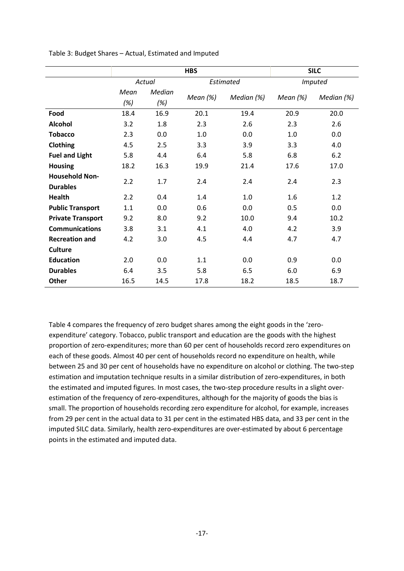|                          |             |               | <b>SILC</b> |            |             |                |  |
|--------------------------|-------------|---------------|-------------|------------|-------------|----------------|--|
|                          |             | Actual        |             | Estimated  |             | <b>Imputed</b> |  |
|                          | Mean<br>(%) | Median<br>(%) | Mean $(\%)$ | Median (%) | Mean $(\%)$ | Median (%)     |  |
| Food                     | 18.4        | 16.9          | 20.1        | 19.4       | 20.9        | 20.0           |  |
| <b>Alcohol</b>           | 3.2         | 1.8           | 2.3         | 2.6        | 2.3         | 2.6            |  |
| <b>Tobacco</b>           | 2.3         | 0.0           | 1.0         | 0.0        | 1.0         | 0.0            |  |
| Clothing                 | 4.5         | 2.5           | 3.3         | 3.9        | 3.3         | 4.0            |  |
| <b>Fuel and Light</b>    | 5.8         | 4.4           | 6.4         | 5.8        | 6.8         | 6.2            |  |
| <b>Housing</b>           | 18.2        | 16.3          | 19.9        | 21.4       | 17.6        | 17.0           |  |
| <b>Household Non-</b>    | 2.2         | 1.7           | 2.4         |            | 2.4         | 2.3            |  |
| <b>Durables</b>          |             |               |             | 2.4        |             |                |  |
| <b>Health</b>            | 2.2         | 0.4           | 1.4         | 1.0        | 1.6         | 1.2            |  |
| <b>Public Transport</b>  | 1.1         | 0.0           | 0.6         | 0.0        | 0.5         | 0.0            |  |
| <b>Private Transport</b> | 9.2         | 8.0           | 9.2         | 10.0       | 9.4         | 10.2           |  |
| <b>Communications</b>    | 3.8         | 3.1           | 4.1         | 4.0        | 4.2         | 3.9            |  |
| <b>Recreation and</b>    | 4.2         | 3.0           | 4.5         | 4.4        | 4.7         | 4.7            |  |
| Culture                  |             |               |             |            |             |                |  |
| <b>Education</b>         | 2.0         | 0.0           | 1.1         | 0.0        | 0.9         | 0.0            |  |
| <b>Durables</b>          | 6.4         | 3.5           | 5.8         | 6.5        | 6.0         | 6.9            |  |
| Other                    | 16.5        | 14.5          | 17.8        | 18.2       | 18.5        | 18.7           |  |

<span id="page-18-0"></span>Table 3: Budget Shares – Actual, Estimated and Imputed

<span id="page-18-1"></span>[Table 4](#page-18-1) compares the frequency of zero budget shares among the eight goods in the 'zeroexpenditure' category. Tobacco, public transport and education are the goods with the highest proportion of zero-expenditures; more than 60 per cent of households record zero expenditures on each of these goods. Almost 40 per cent of households record no expenditure on health, while between 25 and 30 per cent of households have no expenditure on alcohol or clothing. The two-step estimation and imputation technique results in a similar distribution of zero-expenditures, in both the estimated and imputed figures. In most cases, the two-step procedure results in a slight overestimation of the frequency of zero-expenditures, although for the majority of goods the bias is small. The proportion of households recording zero expenditure for alcohol, for example, increases from 29 per cent in the actual data to 31 per cent in the estimated HBS data, and 33 per cent in the imputed SILC data. Similarly, health zero-expenditures are over-estimated by about 6 percentage points in the estimated and imputed data.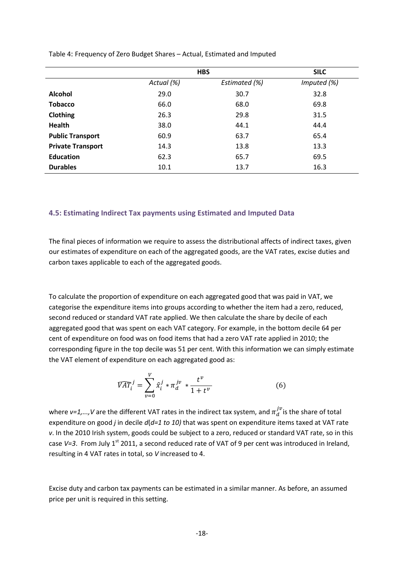|                          |            | <b>HBS</b>    | <b>SILC</b> |
|--------------------------|------------|---------------|-------------|
|                          | Actual (%) | Estimated (%) | Imputed (%) |
| <b>Alcohol</b>           | 29.0       | 30.7          | 32.8        |
| <b>Tobacco</b>           | 66.0       | 68.0          | 69.8        |
| Clothing                 | 26.3       | 29.8          | 31.5        |
| Health                   | 38.0       | 44.1          | 44.4        |
| <b>Public Transport</b>  | 60.9       | 63.7          | 65.4        |
| <b>Private Transport</b> | 14.3       | 13.8          | 13.3        |
| <b>Education</b>         | 62.3       | 65.7          | 69.5        |
| <b>Durables</b>          | 10.1       | 13.7          | 16.3        |

#### Table 4: Frequency of Zero Budget Shares – Actual, Estimated and Imputed

#### **4.5: Estimating Indirect Tax payments using Estimated and Imputed Data**

The final pieces of information we require to assess the distributional affects of indirect taxes, given our estimates of expenditure on each of the aggregated goods, are the VAT rates, excise duties and carbon taxes applicable to each of the aggregated goods.

To calculate the proportion of expenditure on each aggregated good that was paid in VAT, we categorise the expenditure items into groups according to whether the item had a zero, reduced, second reduced or standard VAT rate applied. We then calculate the share by decile of each aggregated good that was spent on each VAT category. For example, in the bottom decile 64 per cent of expenditure on food was on food items that had a zero VAT rate applied in 2010; the corresponding figure in the top decile was 51 per cent. With this information we can simply estimate the VAT element of expenditure on each aggregated good as:

$$
\widehat{VAT}_i^j = \sum_{v=0}^V \widehat{x}_i^j * \pi_d^{jv} * \frac{t^v}{1+t^v}
$$
(6)

where  $v=1,...,V$  are the different VAT rates in the indirect tax system, and  $\pi_d^{Jv}$  is the share of total expenditure on good *j* in decile *d*(*d=1 to 10)* that was spent on expenditure items taxed at VAT rate *v*. In the 2010 Irish system, goods could be subject to a zero, reduced or standard VAT rate, so in this case *V=3*. From July 1<sup>st</sup> 2011, a second reduced rate of VAT of 9 per cent was introduced in Ireland, resulting in 4 VAT rates in total, so *V* increased to 4.

Excise duty and carbon tax payments can be estimated in a similar manner. As before, an assumed price per unit is required in this setting.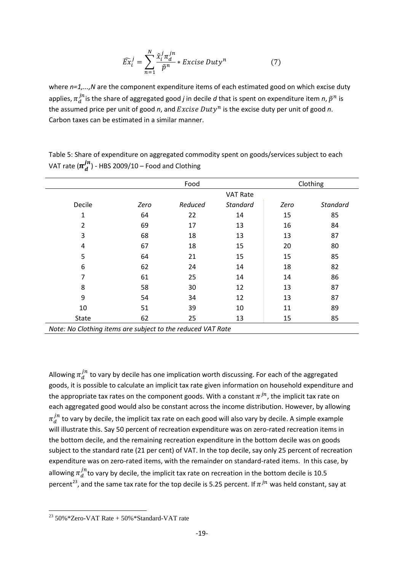$$
\widehat{Ex}_{i}^{j} = \sum_{n=1}^{N} \frac{\widehat{x}_{i}^{j} \pi_{d}^{jn}}{\widetilde{p}^{n}} * Exercise\,Duty^{n}
$$
 (7)

where  $n=1,...,N$  are the component expenditure items of each estimated good on which excise duty applies,  $\pi_d^{jn}$  is the share of aggregated good *j* in decile *d* that is spent on expenditure item *n*,  $\tilde{p}^n$  is the assumed price per unit of good *n*, and  $Excise Duty<sup>n</sup>$  is the excise duty per unit of good *n*. Carbon taxes can be estimated in a similar manner.

|              | Food |         |                 |      | Clothing        |
|--------------|------|---------|-----------------|------|-----------------|
|              |      |         | <b>VAT Rate</b> |      |                 |
| Decile       | Zero | Reduced | <b>Standard</b> | Zero | <b>Standard</b> |
| $\mathbf{1}$ | 64   | 22      | 14              | 15   | 85              |
| 2            | 69   | 17      | 13              | 16   | 84              |
| 3            | 68   | 18      | 13              | 13   | 87              |
| 4            | 67   | 18      | 15              | 20   | 80              |
| 5            | 64   | 21      | 15              | 15   | 85              |
| 6            | 62   | 24      | 14              | 18   | 82              |
| 7            | 61   | 25      | 14              | 14   | 86              |
| 8            | 58   | 30      | 12              | 13   | 87              |
| 9            | 54   | 34      | 12              | 13   | 87              |
| 10           | 51   | 39      | 10              | 11   | 89              |
| <b>State</b> | 62   | 25      | 13              | 15   | 85              |
|              |      |         |                 |      |                 |

Table 5: Share of expenditure on aggregated commodity spent on goods/services subject to each VAT rate  $(\pi_d^{jn})$  - HBS 2009/10 – Food and Clothing

*Note: No Clothing items are subject to the reduced VAT Rate*

Allowing  $\pi_d^{jn}$  to vary by decile has one implication worth discussing. For each of the aggregated goods, it is possible to calculate an implicit tax rate given information on household expenditure and the appropriate tax rates on the component goods. With a constant  $\pi^{jn}$ , the implicit tax rate on each aggregated good would also be constant across the income distribution. However, by allowing  $\pi_d^{Jn}$  to vary by decile, the implicit tax rate on each good will also vary by decile. A simple example will illustrate this. Say 50 percent of recreation expenditure was on zero-rated recreation items in the bottom decile, and the remaining recreation expenditure in the bottom decile was on goods subject to the standard rate (21 per cent) of VAT. In the top decile, say only 25 percent of recreation expenditure was on zero-rated items, with the remainder on standard-rated items. In this case, by allowing  $\pi_d^{jn}$ to vary by decile, the implicit tax rate on recreation in the bottom decile is 10.5 percent<sup>[23](#page-16-1)</sup>, and the same tax rate for the top decile is 5.25 percent. If  $\pi^{jn}$  was held constant, say at

<span id="page-20-0"></span> $23\,50\%$  \*Zero-VAT Rate  $+50\%$  \*Standard-VAT rate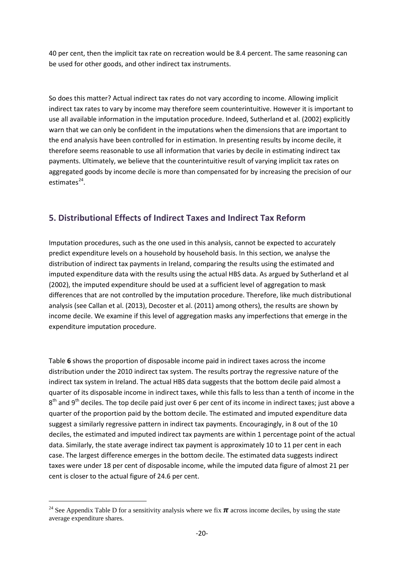40 per cent, then the implicit tax rate on recreation would be 8.4 percent. The same reasoning can be used for other goods, and other indirect tax instruments.

So does this matter? Actual indirect tax rates do not vary according to income. Allowing implicit indirect tax rates to vary by income may therefore seem counterintuitive. However it is important to use all available information in the imputation procedure. Indeed, Sutherland et al. (2002) explicitly warn that we can only be confident in the imputations when the dimensions that are important to the end analysis have been controlled for in estimation. In presenting results by income decile, it therefore seems reasonable to use all information that varies by decile in estimating indirect tax payments. Ultimately, we believe that the counterintuitive result of varying implicit tax rates on aggregated goods by income decile is more than compensated for by increasing the precision of our estimates $^{24}$  $^{24}$  $^{24}$ .

## **5. Distributional Effects of Indirect Taxes and Indirect Tax Reform**

Imputation procedures, such as the one used in this analysis, cannot be expected to accurately predict expenditure levels on a household by household basis. In this section, we analyse the distribution of indirect tax payments in Ireland, comparing the results using the estimated and imputed expenditure data with the results using the actual HBS data. As argued by Sutherland et al (2002), the imputed expenditure should be used at a sufficient level of aggregation to mask differences that are not controlled by the imputation procedure. Therefore, like much distributional analysis (see Callan et al. (2013), Decoster et al. (2011) among others), the results are shown by income decile. We examine if this level of aggregation masks any imperfections that emerge in the expenditure imputation procedure.

[Table](#page-22-0) **6** shows the proportion of disposable income paid in indirect taxes across the income distribution under the 2010 indirect tax system. The results portray the regressive nature of the indirect tax system in Ireland. The actual HBS data suggests that the bottom decile paid almost a quarter of its disposable income in indirect taxes, while this falls to less than a tenth of income in the  $8<sup>th</sup>$  and  $9<sup>th</sup>$  deciles. The top decile paid just over 6 per cent of its income in indirect taxes; just above a quarter of the proportion paid by the bottom decile. The estimated and imputed expenditure data suggest a similarly regressive pattern in indirect tax payments. Encouragingly, in 8 out of the 10 deciles, the estimated and imputed indirect tax payments are within 1 percentage point of the actual data. Similarly, the state average indirect tax payment is approximately 10 to 11 per cent in each case. The largest difference emerges in the bottom decile. The estimated data suggests indirect taxes were under 18 per cent of disposable income, while the imputed data figure of almost 21 per cent is closer to the actual figure of 24.6 per cent.

**.** 

<sup>&</sup>lt;sup>24</sup> See [Appendix Table D](#page-30-1) for a sensitivity analysis where we fix  $\pi$  across income deciles, by using the state average expenditure shares.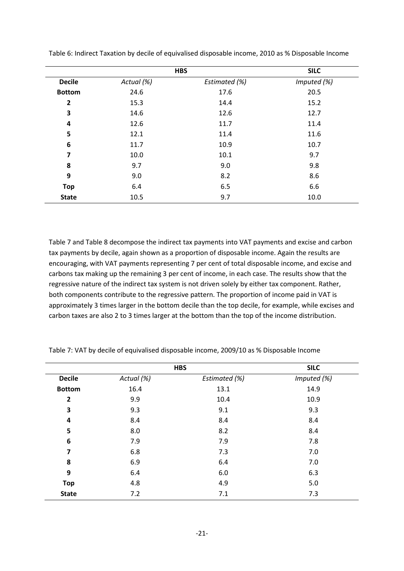|               |            | <b>HBS</b>    | <b>SILC</b> |
|---------------|------------|---------------|-------------|
| <b>Decile</b> | Actual (%) | Estimated (%) | Imputed (%) |
| <b>Bottom</b> | 24.6       | 17.6          | 20.5        |
| 2             | 15.3       | 14.4          | 15.2        |
| 3             | 14.6       | 12.6          | 12.7        |
| 4             | 12.6       | 11.7          | 11.4        |
| 5             | 12.1       | 11.4          | 11.6        |
| 6             | 11.7       | 10.9          | 10.7        |
| 7             | 10.0       | 10.1          | 9.7         |
| 8             | 9.7        | 9.0           | 9.8         |
| 9             | 9.0        | 8.2           | 8.6         |
| <b>Top</b>    | 6.4        | 6.5           | 6.6         |
| <b>State</b>  | 10.5       | 9.7           | 10.0        |

<span id="page-22-0"></span>Table 6: Indirect Taxation by decile of equivalised disposable income, 2010 as % Disposable Income

[Table 7](#page-22-1) and [Table 8](#page-23-0) decompose the indirect tax payments into VAT payments and excise and carbon tax payments by decile, again shown as a proportion of disposable income. Again the results are encouraging, with VAT payments representing 7 per cent of total disposable income, and excise and carbons tax making up the remaining 3 per cent of income, in each case. The results show that the regressive nature of the indirect tax system is not driven solely by either tax component. Rather, both components contribute to the regressive pattern. The proportion of income paid in VAT is approximately 3 times larger in the bottom decile than the top decile, for example, while excises and carbon taxes are also 2 to 3 times larger at the bottom than the top of the income distribution.

|                |            | <b>HBS</b>    | <b>SILC</b> |
|----------------|------------|---------------|-------------|
| <b>Decile</b>  | Actual (%) | Estimated (%) | Imputed (%) |
| <b>Bottom</b>  | 16.4       | 13.1          | 14.9        |
| $\overline{2}$ | 9.9        | 10.4          | 10.9        |
| 3              | 9.3        | 9.1           | 9.3         |
| 4              | 8.4        | 8.4           | 8.4         |
| 5              | 8.0        | 8.2           | 8.4         |
| 6              | 7.9        | 7.9           | 7.8         |
| 7              | 6.8        | 7.3           | 7.0         |
| 8              | 6.9        | 6.4           | 7.0         |
| 9              | 6.4        | 6.0           | 6.3         |
| <b>Top</b>     | 4.8        | 4.9           | 5.0         |
| <b>State</b>   | 7.2        | 7.1           | 7.3         |

<span id="page-22-1"></span>Table 7: VAT by decile of equivalised disposable income, 2009/10 as % Disposable Income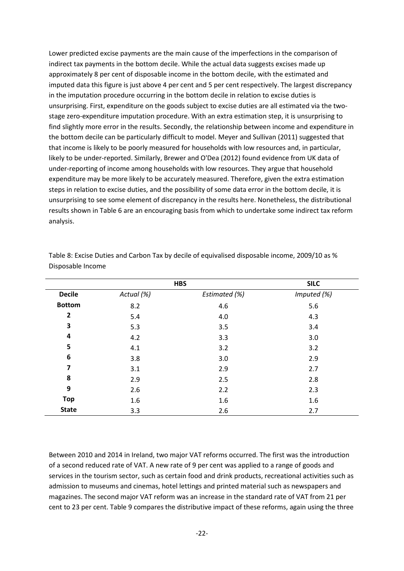Lower predicted excise payments are the main cause of the imperfections in the comparison of indirect tax payments in the bottom decile. While the actual data suggests excises made up approximately 8 per cent of disposable income in the bottom decile, with the estimated and imputed data this figure is just above 4 per cent and 5 per cent respectively. The largest discrepancy in the imputation procedure occurring in the bottom decile in relation to excise duties is unsurprising. First, expenditure on the goods subject to excise duties are all estimated via the twostage zero-expenditure imputation procedure. With an extra estimation step, it is unsurprising to find slightly more error in the results. Secondly, the relationship between income and expenditure in the bottom decile can be particularly difficult to model. Meyer and Sullivan (2011) suggested that that income is likely to be poorly measured for households with low resources and, in particular, likely to be under-reported. Similarly, Brewer and O'Dea (2012) found evidence from UK data of under-reporting of income among households with low resources. They argue that household expenditure may be more likely to be accurately measured. Therefore, given the extra estimation steps in relation to excise duties, and the possibility of some data error in the bottom decile, it is unsurprising to see some element of discrepancy in the results here. Nonetheless, the distributional results shown in [Table 6](#page-22-0) are an encouraging basis from which to undertake some indirect tax reform analysis.

|                         |            | <b>HBS</b>    | <b>SILC</b> |
|-------------------------|------------|---------------|-------------|
| <b>Decile</b>           | Actual (%) | Estimated (%) | Imputed (%) |
| <b>Bottom</b>           | 8.2        | 4.6           | 5.6         |
| $\overline{\mathbf{c}}$ | 5.4        | 4.0           | 4.3         |
| 3                       | 5.3        | 3.5           | 3.4         |
| 4                       | 4.2        | 3.3           | 3.0         |
| 5                       | 4.1        | 3.2           | 3.2         |
| 6                       | 3.8        | 3.0           | 2.9         |
| 7                       | 3.1        | 2.9           | 2.7         |
| 8                       | 2.9        | 2.5           | 2.8         |
| 9                       | 2.6        | 2.2           | 2.3         |
| <b>Top</b>              | 1.6        | 1.6           | 1.6         |
| <b>State</b>            | 3.3        | 2.6           | 2.7         |

<span id="page-23-0"></span>Table 8: Excise Duties and Carbon Tax by decile of equivalised disposable income, 2009/10 as % Disposable Income

Between 2010 and 2014 in Ireland, two major VAT reforms occurred. The first was the introduction of a second reduced rate of VAT. A new rate of 9 per cent was applied to a range of goods and services in the tourism sector, such as certain food and drink products, recreational activities such as admission to museums and cinemas, hotel lettings and printed material such as newspapers and magazines. The second major VAT reform was an increase in the standard rate of VAT from 21 per cent to 23 per cent. [Table 9](#page-24-0) compares the distributive impact of these reforms, again using the three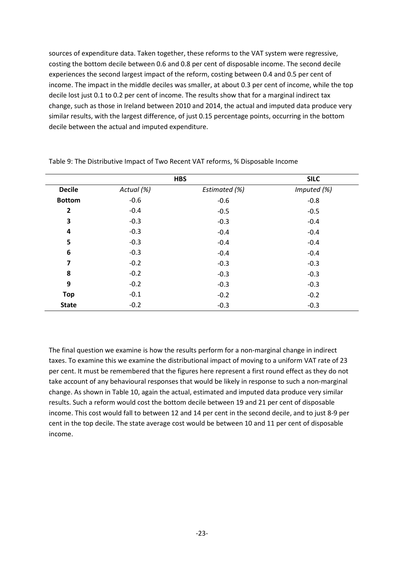sources of expenditure data. Taken together, these reforms to the VAT system were regressive, costing the bottom decile between 0.6 and 0.8 per cent of disposable income. The second decile experiences the second largest impact of the reform, costing between 0.4 and 0.5 per cent of income. The impact in the middle deciles was smaller, at about 0.3 per cent of income, while the top decile lost just 0.1 to 0.2 per cent of income. The results show that for a marginal indirect tax change, such as those in Ireland between 2010 and 2014, the actual and imputed data produce very similar results, with the largest difference, of just 0.15 percentage points, occurring in the bottom decile between the actual and imputed expenditure.

|                |            | <b>HBS</b>    | <b>SILC</b> |
|----------------|------------|---------------|-------------|
| <b>Decile</b>  | Actual (%) | Estimated (%) | Imputed (%) |
| <b>Bottom</b>  | $-0.6$     | $-0.6$        | $-0.8$      |
| $\overline{2}$ | $-0.4$     | $-0.5$        | $-0.5$      |
| 3              | $-0.3$     | $-0.3$        | $-0.4$      |
| 4              | $-0.3$     | $-0.4$        | $-0.4$      |
| 5              | $-0.3$     | $-0.4$        | $-0.4$      |
| 6              | $-0.3$     | $-0.4$        | $-0.4$      |
| $\overline{7}$ | $-0.2$     | $-0.3$        | $-0.3$      |
| 8              | $-0.2$     | $-0.3$        | $-0.3$      |
| 9              | $-0.2$     | $-0.3$        | $-0.3$      |
| <b>Top</b>     | $-0.1$     | $-0.2$        | $-0.2$      |
| <b>State</b>   | $-0.2$     | $-0.3$        | $-0.3$      |

<span id="page-24-0"></span>Table 9: The Distributive Impact of Two Recent VAT reforms, % Disposable Income

The final question we examine is how the results perform for a non-marginal change in indirect taxes. To examine this we examine the distributional impact of moving to a uniform VAT rate of 23 per cent. It must be remembered that the figures here represent a first round effect as they do not take account of any behavioural responses that would be likely in response to such a non-marginal change. As shown in [Table 10,](#page-25-0) again the actual, estimated and imputed data produce very similar results. Such a reform would cost the bottom decile between 19 and 21 per cent of disposable income. This cost would fall to between 12 and 14 per cent in the second decile, and to just 8-9 per cent in the top decile. The state average cost would be between 10 and 11 per cent of disposable income.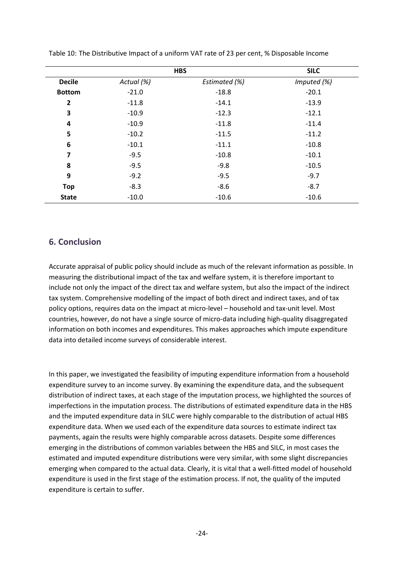|                         |            | <b>HBS</b>    | <b>SILC</b> |
|-------------------------|------------|---------------|-------------|
| <b>Decile</b>           | Actual (%) | Estimated (%) | Imputed (%) |
| <b>Bottom</b>           | $-21.0$    | $-18.8$       | $-20.1$     |
| $\overline{\mathbf{2}}$ | $-11.8$    | $-14.1$       | $-13.9$     |
| 3                       | $-10.9$    | $-12.3$       | $-12.1$     |
| 4                       | $-10.9$    | $-11.8$       | $-11.4$     |
| 5                       | $-10.2$    | $-11.5$       | $-11.2$     |
| 6                       | $-10.1$    | $-11.1$       | $-10.8$     |
| $\overline{7}$          | $-9.5$     | $-10.8$       | $-10.1$     |
| 8                       | $-9.5$     | $-9.8$        | $-10.5$     |
| 9                       | $-9.2$     | $-9.5$        | $-9.7$      |
| <b>Top</b>              | $-8.3$     | $-8.6$        | $-8.7$      |
| <b>State</b>            | $-10.0$    | $-10.6$       | $-10.6$     |

<span id="page-25-0"></span>Table 10: The Distributive Impact of a uniform VAT rate of 23 per cent, % Disposable Income

### **6. Conclusion**

Accurate appraisal of public policy should include as much of the relevant information as possible. In measuring the distributional impact of the tax and welfare system, it is therefore important to include not only the impact of the direct tax and welfare system, but also the impact of the indirect tax system. Comprehensive modelling of the impact of both direct and indirect taxes, and of tax policy options, requires data on the impact at micro-level – household and tax-unit level. Most countries, however, do not have a single source of micro-data including high-quality disaggregated information on both incomes and expenditures. This makes approaches which impute expenditure data into detailed income surveys of considerable interest.

In this paper, we investigated the feasibility of imputing expenditure information from a household expenditure survey to an income survey. By examining the expenditure data, and the subsequent distribution of indirect taxes, at each stage of the imputation process, we highlighted the sources of imperfections in the imputation process. The distributions of estimated expenditure data in the HBS and the imputed expenditure data in SILC were highly comparable to the distribution of actual HBS expenditure data. When we used each of the expenditure data sources to estimate indirect tax payments, again the results were highly comparable across datasets. Despite some differences emerging in the distributions of common variables between the HBS and SILC, in most cases the estimated and imputed expenditure distributions were very similar, with some slight discrepancies emerging when compared to the actual data. Clearly, it is vital that a well-fitted model of household expenditure is used in the first stage of the estimation process. If not, the quality of the imputed expenditure is certain to suffer.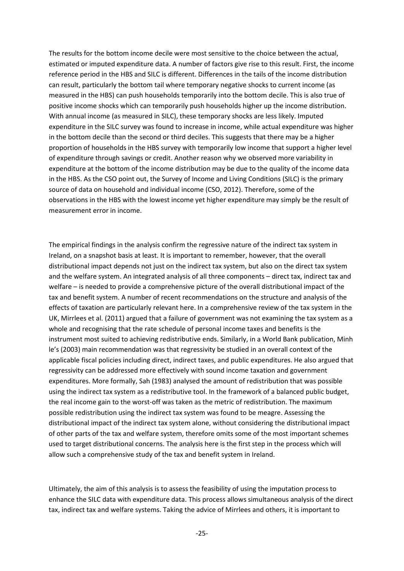The results for the bottom income decile were most sensitive to the choice between the actual, estimated or imputed expenditure data. A number of factors give rise to this result. First, the income reference period in the HBS and SILC is different. Differences in the tails of the income distribution can result, particularly the bottom tail where temporary negative shocks to current income (as measured in the HBS) can push households temporarily into the bottom decile. This is also true of positive income shocks which can temporarily push households higher up the income distribution. With annual income (as measured in SILC), these temporary shocks are less likely. Imputed expenditure in the SILC survey was found to increase in income, while actual expenditure was higher in the bottom decile than the second or third deciles. This suggests that there may be a higher proportion of households in the HBS survey with temporarily low income that support a higher level of expenditure through savings or credit. Another reason why we observed more variability in expenditure at the bottom of the income distribution may be due to the quality of the income data in the HBS. As the CSO point out, the Survey of Income and Living Conditions (SILC) is the primary source of data on household and individual income (CSO, 2012). Therefore, some of the observations in the HBS with the lowest income yet higher expenditure may simply be the result of measurement error in income.

The empirical findings in the analysis confirm the regressive nature of the indirect tax system in Ireland, on a snapshot basis at least. It is important to remember, however, that the overall distributional impact depends not just on the indirect tax system, but also on the direct tax system and the welfare system. An integrated analysis of all three components – direct tax, indirect tax and welfare – is needed to provide a comprehensive picture of the overall distributional impact of the tax and benefit system. A number of recent recommendations on the structure and analysis of the effects of taxation are particularly relevant here. In a comprehensive review of the tax system in the UK, Mirrlees et al. (2011) argued that a failure of government was not examining the tax system as a whole and recognising that the rate schedule of personal income taxes and benefits is the instrument most suited to achieving redistributive ends. Similarly, in a World Bank publication, Minh le's (2003) main recommendation was that regressivity be studied in an overall context of the applicable fiscal policies including direct, indirect taxes, and public expenditures. He also argued that regressivity can be addressed more effectively with sound income taxation and government expenditures. More formally, Sah (1983) analysed the amount of redistribution that was possible using the indirect tax system as a redistributive tool. In the framework of a balanced public budget, the real income gain to the worst-off was taken as the metric of redistribution. The maximum possible redistribution using the indirect tax system was found to be meagre. Assessing the distributional impact of the indirect tax system alone, without considering the distributional impact of other parts of the tax and welfare system, therefore omits some of the most important schemes used to target distributional concerns. The analysis here is the first step in the process which will allow such a comprehensive study of the tax and benefit system in Ireland.

Ultimately, the aim of this analysis is to assess the feasibility of using the imputation process to enhance the SILC data with expenditure data. This process allows simultaneous analysis of the direct tax, indirect tax and welfare systems. Taking the advice of Mirrlees and others, it is important to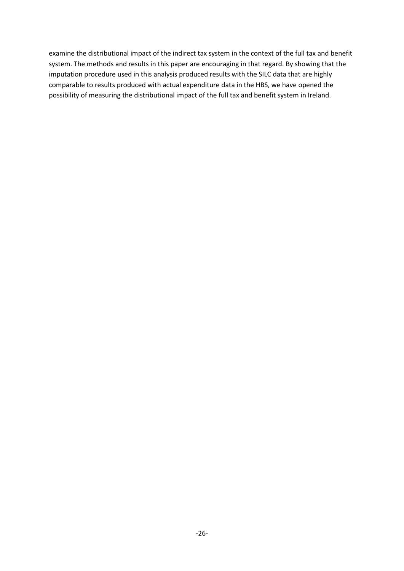examine the distributional impact of the indirect tax system in the context of the full tax and benefit system. The methods and results in this paper are encouraging in that regard. By showing that the imputation procedure used in this analysis produced results with the SILC data that are highly comparable to results produced with actual expenditure data in the HBS, we have opened the possibility of measuring the distributional impact of the full tax and benefit system in Ireland.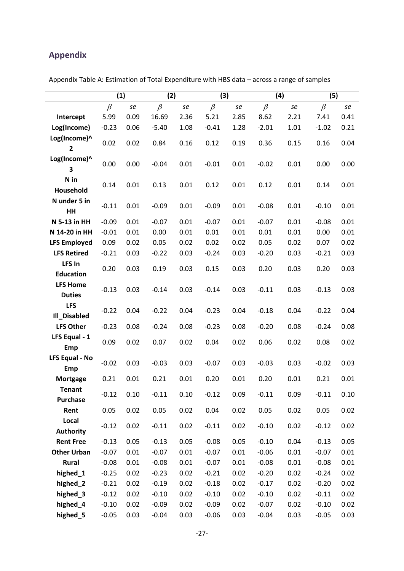## **Appendix**

|                                  | (1)     |      | (2)     |      | (3)     |      | (4)     |      | (5)     |      |
|----------------------------------|---------|------|---------|------|---------|------|---------|------|---------|------|
|                                  | $\beta$ | se   | $\beta$ | se   | $\beta$ | se   | $\beta$ | se   | $\beta$ | se   |
| Intercept                        | 5.99    | 0.09 | 16.69   | 2.36 | 5.21    | 2.85 | 8.62    | 2.21 | 7.41    | 0.41 |
| Log(Income)                      | $-0.23$ | 0.06 | $-5.40$ | 1.08 | $-0.41$ | 1.28 | $-2.01$ | 1.01 | $-1.02$ | 0.21 |
| Log(Income)^                     | 0.02    | 0.02 | 0.84    | 0.16 | 0.12    | 0.19 | 0.36    | 0.15 | 0.16    | 0.04 |
| $\mathbf{2}$                     |         |      |         |      |         |      |         |      |         |      |
| Log(Income)^<br>3                | 0.00    | 0.00 | $-0.04$ | 0.01 | $-0.01$ | 0.01 | $-0.02$ | 0.01 | 0.00    | 0.00 |
| N in<br>Household                | 0.14    | 0.01 | 0.13    | 0.01 | 0.12    | 0.01 | 0.12    | 0.01 | 0.14    | 0.01 |
| N under 5 in<br>HH               | $-0.11$ | 0.01 | $-0.09$ | 0.01 | $-0.09$ | 0.01 | $-0.08$ | 0.01 | $-0.10$ | 0.01 |
| N 5-13 in HH                     | $-0.09$ | 0.01 | $-0.07$ | 0.01 | $-0.07$ | 0.01 | $-0.07$ | 0.01 | $-0.08$ | 0.01 |
| N 14-20 in HH                    | $-0.01$ | 0.01 | 0.00    | 0.01 | 0.01    | 0.01 | 0.01    | 0.01 | 0.00    | 0.01 |
| <b>LFS Employed</b>              | 0.09    | 0.02 | 0.05    | 0.02 | 0.02    | 0.02 | 0.05    | 0.02 | 0.07    | 0.02 |
| <b>LFS Retired</b>               | $-0.21$ | 0.03 | $-0.22$ | 0.03 | $-0.24$ | 0.03 | $-0.20$ | 0.03 | $-0.21$ | 0.03 |
| <b>LFS In</b>                    | 0.20    | 0.03 | 0.19    | 0.03 | 0.15    | 0.03 | 0.20    | 0.03 | 0.20    | 0.03 |
| <b>Education</b>                 |         |      |         |      |         |      |         |      |         |      |
| <b>LFS Home</b><br><b>Duties</b> | $-0.13$ | 0.03 | $-0.14$ | 0.03 | $-0.14$ | 0.03 | $-0.11$ | 0.03 | $-0.13$ | 0.03 |
| <b>LFS</b><br>Ill_Disabled       | $-0.22$ | 0.04 | $-0.22$ | 0.04 | $-0.23$ | 0.04 | $-0.18$ | 0.04 | $-0.22$ | 0.04 |
| <b>LFS Other</b>                 | $-0.23$ | 0.08 | $-0.24$ | 0.08 | $-0.23$ | 0.08 | $-0.20$ | 0.08 | $-0.24$ | 0.08 |
| LFS Equal - 1                    |         |      |         |      |         |      |         |      |         | 0.02 |
| Emp                              | 0.09    | 0.02 | 0.07    | 0.02 | 0.04    | 0.02 | 0.06    | 0.02 | 0.08    |      |
| LFS Equal - No<br>Emp            | $-0.02$ | 0.03 | $-0.03$ | 0.03 | $-0.07$ | 0.03 | $-0.03$ | 0.03 | $-0.02$ | 0.03 |
| <b>Mortgage</b>                  | 0.21    | 0.01 | 0.21    | 0.01 | 0.20    | 0.01 | 0.20    | 0.01 | 0.21    | 0.01 |
| <b>Tenant</b>                    | $-0.12$ | 0.10 | $-0.11$ | 0.10 | $-0.12$ | 0.09 | $-0.11$ | 0.09 | $-0.11$ | 0.10 |
| <b>Purchase</b>                  |         |      |         |      |         |      |         |      |         |      |
| Rent                             | 0.05    | 0.02 | 0.05    | 0.02 | 0.04    | 0.02 | 0.05    | 0.02 | 0.05    | 0.02 |
| Local                            | $-0.12$ | 0.02 | $-0.11$ | 0.02 | $-0.11$ | 0.02 | $-0.10$ | 0.02 | $-0.12$ | 0.02 |
| <b>Authority</b>                 |         |      |         |      |         |      |         |      |         |      |
| <b>Rent Free</b>                 | $-0.13$ | 0.05 | $-0.13$ | 0.05 | $-0.08$ | 0.05 | $-0.10$ | 0.04 | $-0.13$ | 0.05 |
| <b>Other Urban</b>               | $-0.07$ | 0.01 | $-0.07$ | 0.01 | $-0.07$ | 0.01 | $-0.06$ | 0.01 | $-0.07$ | 0.01 |
| Rural                            | $-0.08$ | 0.01 | $-0.08$ | 0.01 | $-0.07$ | 0.01 | $-0.08$ | 0.01 | $-0.08$ | 0.01 |
| highed_1                         | $-0.25$ | 0.02 | $-0.23$ | 0.02 | $-0.21$ | 0.02 | $-0.20$ | 0.02 | $-0.24$ | 0.02 |
| highed_2                         | $-0.21$ | 0.02 | $-0.19$ | 0.02 | $-0.18$ | 0.02 | $-0.17$ | 0.02 | $-0.20$ | 0.02 |
| highed_3                         | $-0.12$ | 0.02 | $-0.10$ | 0.02 | $-0.10$ | 0.02 | $-0.10$ | 0.02 | $-0.11$ | 0.02 |
| highed_4                         | $-0.10$ | 0.02 | $-0.09$ | 0.02 | $-0.09$ | 0.02 | $-0.07$ | 0.02 | $-0.10$ | 0.02 |
| highed_5                         | $-0.05$ | 0.03 | $-0.04$ | 0.03 | $-0.06$ | 0.03 | $-0.04$ | 0.03 | $-0.05$ | 0.03 |

Appendix Table A: Estimation of Total Expenditure with HBS data – across a range of samples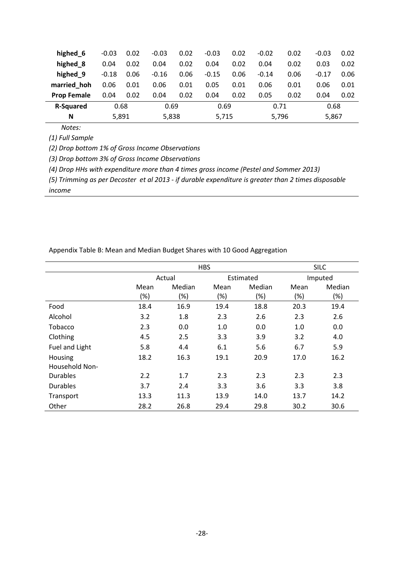| highed 6           | $-0.03$ | 0.02 | $-0.03$ | 0.02 | $-0.03$ | 0.02 | $-0.02$ | 0.02 | $-0.03$ | 0.02 |
|--------------------|---------|------|---------|------|---------|------|---------|------|---------|------|
| highed 8           | 0.04    | 0.02 | 0.04    | 0.02 | 0.04    | 0.02 | 0.04    | 0.02 | 0.03    | 0.02 |
| highed 9           | $-0.18$ | 0.06 | $-0.16$ | 0.06 | $-0.15$ | 0.06 | $-0.14$ | 0.06 | $-0.17$ | 0.06 |
| married hoh        | 0.06    | 0.01 | 0.06    | 0.01 | 0.05    | 0.01 | 0.06    | 0.01 | 0.06    | 0.01 |
| <b>Prop Female</b> | 0.04    | 0.02 | 0.04    | 0.02 | 0.04    | 0.02 | 0.05    | 0.02 | 0.04    | 0.02 |
| <b>R-Squared</b>   | 0.68    |      | 0.69    |      | 0.69    |      | 0.71    |      | 0.68    |      |
| N                  | 5,891   |      | 5,838   |      | 5,715   |      | 5,796   |      | 5,867   |      |

*Notes:*

*(1) Full Sample*

*(2) Drop bottom 1% of Gross Income Observations*

*(3) Drop bottom 3% of Gross Income Observations*

*(4) Drop HHs with expenditure more than 4 times gross income (Pestel and Sommer 2013)*

*(5) Trimming as per Decoster et al 2013 - if durable expenditure is greater than 2 times disposable income*

<span id="page-29-0"></span>Appendix Table B: Mean and Median Budget Shares with 10 Good Aggregation

|                 | <b>HBS</b> |        |           |        | <b>SILC</b> |        |
|-----------------|------------|--------|-----------|--------|-------------|--------|
|                 | Actual     |        | Estimated |        | Imputed     |        |
|                 | Mean       | Median | Mean      | Median | Mean        | Median |
|                 | (%)        | (%)    | (%)       | (%)    | (%)         | (%)    |
| Food            | 18.4       | 16.9   | 19.4      | 18.8   | 20.3        | 19.4   |
| Alcohol         | 3.2        | 1.8    | 2.3       | 2.6    | 2.3         | 2.6    |
| Tobacco         | 2.3        | 0.0    | 1.0       | 0.0    | 1.0         | 0.0    |
| Clothing        | 4.5        | 2.5    | 3.3       | 3.9    | 3.2         | 4.0    |
| Fuel and Light  | 5.8        | 4.4    | 6.1       | 5.6    | 6.7         | 5.9    |
| Housing         | 18.2       | 16.3   | 19.1      | 20.9   | 17.0        | 16.2   |
| Household Non-  |            |        |           |        |             |        |
| <b>Durables</b> | 2.2        | 1.7    | 2.3       | 2.3    | 2.3         | 2.3    |
| <b>Durables</b> | 3.7        | 2.4    | 3.3       | 3.6    | 3.3         | 3.8    |
| Transport       | 13.3       | 11.3   | 13.9      | 14.0   | 13.7        | 14.2   |
| Other           | 28.2       | 26.8   | 29.4      | 29.8   | 30.2        | 30.6   |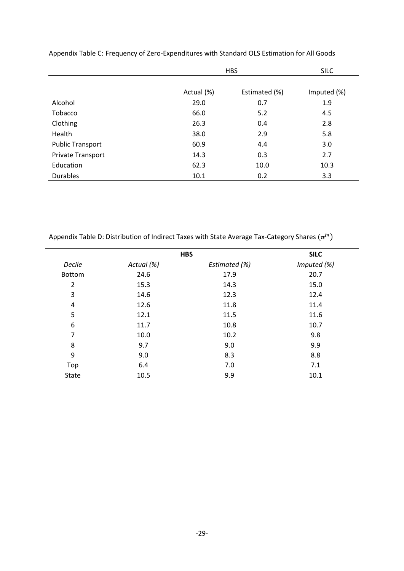|                         | <b>HBS</b> | <b>SILC</b>   |             |
|-------------------------|------------|---------------|-------------|
|                         | Actual (%) | Estimated (%) | Imputed (%) |
| Alcohol                 | 29.0       | 0.7           | 1.9         |
| Tobacco                 | 66.0       | 5.2           | 4.5         |
| Clothing                | 26.3       | 0.4           | 2.8         |
| Health                  | 38.0       | 2.9           | 5.8         |
| <b>Public Transport</b> | 60.9       | 4.4           | 3.0         |
| Private Transport       | 14.3       | 0.3           | 2.7         |
| Education               | 62.3       | 10.0          | 10.3        |
| <b>Durables</b>         | 10.1       | 0.2           | 3.3         |

<span id="page-30-0"></span>Appendix Table C: Frequency of Zero-Expenditures with Standard OLS Estimation for All Goods

<span id="page-30-1"></span>Appendix Table D: Distribution of Indirect Taxes with State Average Tax-Category Shares  $(\pi^{jn})$ 

|                |            | <b>HBS</b>    | <b>SILC</b> |
|----------------|------------|---------------|-------------|
| Decile         | Actual (%) | Estimated (%) | Imputed (%) |
| Bottom         | 24.6       | 17.9          | 20.7        |
| $\overline{2}$ | 15.3       | 14.3          | 15.0        |
| 3              | 14.6       | 12.3          | 12.4        |
| 4              | 12.6       | 11.8          | 11.4        |
| 5              | 12.1       | 11.5          | 11.6        |
| 6              | 11.7       | 10.8          | 10.7        |
| $\overline{7}$ | 10.0       | 10.2          | 9.8         |
| 8              | 9.7        | 9.0           | 9.9         |
| 9              | 9.0        | 8.3           | 8.8         |
| Top            | 6.4        | 7.0           | 7.1         |
| <b>State</b>   | 10.5       | 9.9           | 10.1        |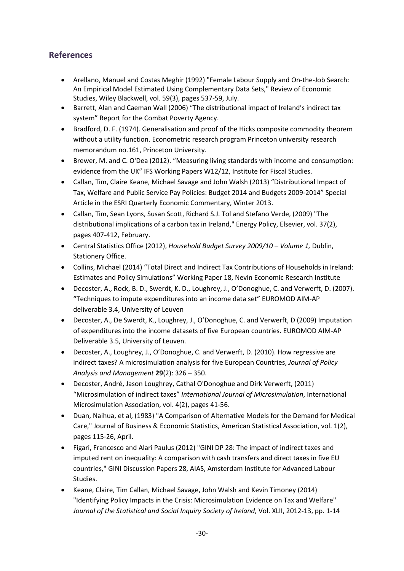## **References**

- Arellano, Manuel and Costas Meghir (1992) "Female Labour Supply and On-the-Job Search: An Empirical Model Estimated Using Complementary Data Sets," Review of Economic Studies, Wiley Blackwell, vol. 59(3), pages 537-59, July.
- Barrett, Alan and Caeman Wall (2006) "The distributional impact of Ireland's indirect tax system" Report for the Combat Poverty Agency.
- Bradford, D. F. (1974). Generalisation and proof of the Hicks composite commodity theorem without a utility function. Econometric research program Princeton university research memorandum no.161, Princeton University.
- Brewer, M. and C. O'Dea (2012). "Measuring living standards with income and consumption: evidence from the UK" IFS Working Papers W12/12, Institute for Fiscal Studies.
- Callan, Tim, Claire Keane, Michael Savage and John Walsh (2013) "Distributional Impact of Tax, Welfare and Public Service Pay Policies: Budget 2014 and Budgets 2009-2014" Special Article in the ESRI Quarterly Economic Commentary, Winter 2013.
- Callan, Tim, Sean Lyons, Susan Scott, Richard S.J. Tol and Stefano Verde, (2009) "The distributional implications of a carbon tax in Ireland," Energy Policy, Elsevier, vol. 37(2), pages 407-412, February.
- Central Statistics Office (2012), *Household Budget Survey 2009/10 – Volume 1,* Dublin, Stationery Office.
- Collins, Michael (2014) "Total Direct and Indirect Tax Contributions of Households in Ireland: Estimates and Policy Simulations" Working Paper 18, Nevin Economic Research Institute
- Decoster, A., Rock, B. D., Swerdt, K. D., Loughrey, J., O'Donoghue, C. and Verwerft, D. (2007). "Techniques to impute expenditures into an income data set" EUROMOD AIM-AP deliverable 3.4, University of Leuven
- Decoster, A., De Swerdt, K., Loughrey, J., O'Donoghue, C. and Verwerft, D (2009) Imputation of expenditures into the income datasets of five European countries. EUROMOD AIM-AP Deliverable 3.5, University of Leuven.
- Decoster, A., Loughrey, J., O'Donoghue, C. and Verwerft, D. (2010). How regressive are indirect taxes? A microsimulation analysis for five European Countries, *Journal of Policy Analysis and Management* **29**(2): 326 – 350.
- Decoster, André, Jason Loughrey, Cathal O'Donoghue and Dirk Verwerft, (2011) "Microsimulation of indirect taxes" *International Journal of Microsimulation*, International Microsimulation Association, vol. 4(2), pages 41-56.
- Duan, Naihua, et al, (1983) "A Comparison of Alternative Models for the Demand for Medical Care," Journal of Business & Economic Statistics, American Statistical Association, vol. 1(2), pages 115-26, April.
- Figari, Francesco and Alari Paulus (2012) "GINI DP 28: The impact of indirect taxes and imputed rent on inequality: A comparison with cash transfers and direct taxes in five EU countries," GINI Discussion Papers 28, AIAS, Amsterdam Institute for Advanced Labour Studies.
- [Keane, Claire,](http://www.esri.ie/about_us/staff/view_all_staff/view/index.xml?id=1226) Tim Callan, Michael Savage, John Walsh and Kevin Timoney (2014) "Identifying Policy Impacts in the Crisis: Microsimulation Evidence on Tax and Welfare" *Journal of the Statistical and Social Inquiry Society of Ireland*, Vol. XLII, 2012-13, pp. 1-14